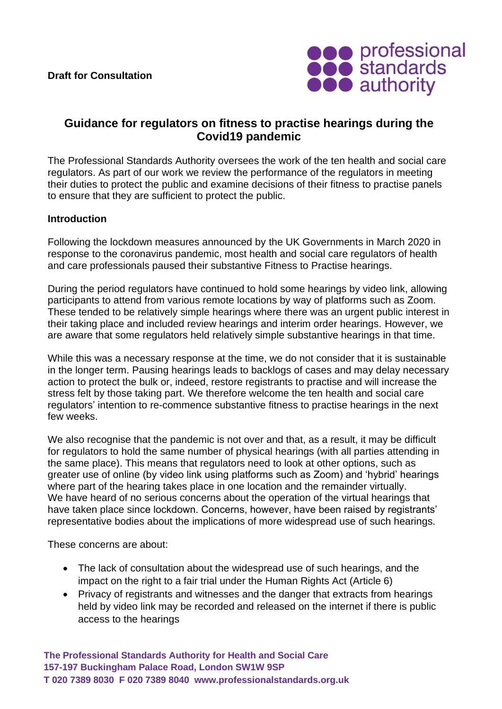

# **Guidance for regulators on fitness to practise hearings during the Covid19 pandemic**

The Professional Standards Authority oversees the work of the ten health and social care regulators. As part of our work we review the performance of the regulators in meeting their duties to protect the public and examine decisions of their fitness to practise panels to ensure that they are sufficient to protect the public.

# **Introduction**

Following the lockdown measures announced by the UK Governments in March 2020 in response to the coronavirus pandemic, most health and social care regulators of health and care professionals paused their substantive Fitness to Practise hearings.

During the period regulators have continued to hold some hearings by video link, allowing participants to attend from various remote locations by way of platforms such as Zoom. These tended to be relatively simple hearings where there was an urgent public interest in their taking place and included review hearings and interim order hearings. However, we are aware that some regulators held relatively simple substantive hearings in that time.

While this was a necessary response at the time, we do not consider that it is sustainable in the longer term. Pausing hearings leads to backlogs of cases and may delay necessary action to protect the bulk or, indeed, restore registrants to practise and will increase the stress felt by those taking part. We therefore welcome the ten health and social care regulators' intention to re-commence substantive fitness to practise hearings in the next few weeks.

We also recognise that the pandemic is not over and that, as a result, it may be difficult for regulators to hold the same number of physical hearings (with all parties attending in the same place). This means that regulators need to look at other options, such as greater use of online (by video link using platforms such as Zoom) and 'hybrid' hearings where part of the hearing takes place in one location and the remainder virtually. We have heard of no serious concerns about the operation of the virtual hearings that have taken place since lockdown. Concerns, however, have been raised by registrants' representative bodies about the implications of more widespread use of such hearings.

These concerns are about:

- The lack of consultation about the widespread use of such hearings, and the impact on the right to a fair trial under the Human Rights Act (Article 6)
- Privacy of registrants and witnesses and the danger that extracts from hearings held by video link may be recorded and released on the internet if there is public access to the hearings

**The Professional Standards Authority for Health and Social Care 157-197 Buckingham Palace Road, London SW1W 9SP T 020 7389 8030 F 020 7389 8040 www.professionalstandards.org.uk**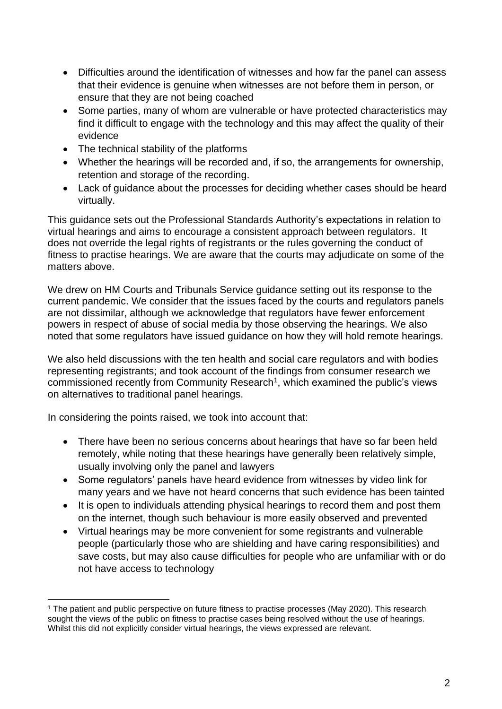- Difficulties around the identification of witnesses and how far the panel can assess that their evidence is genuine when witnesses are not before them in person, or ensure that they are not being coached
- Some parties, many of whom are vulnerable or have protected characteristics may find it difficult to engage with the technology and this may affect the quality of their evidence
- The technical stability of the platforms
- Whether the hearings will be recorded and, if so, the arrangements for ownership, retention and storage of the recording.
- Lack of guidance about the processes for deciding whether cases should be heard virtually.

This guidance sets out the Professional Standards Authority's expectations in relation to virtual hearings and aims to encourage a consistent approach between regulators. It does not override the legal rights of registrants or the rules governing the conduct of fitness to practise hearings. We are aware that the courts may adjudicate on some of the matters above.

We drew on HM Courts and Tribunals Service guidance setting out its response to the current pandemic. We consider that the issues faced by the courts and regulators panels are not dissimilar, although we acknowledge that regulators have fewer enforcement powers in respect of abuse of social media by those observing the hearings. We also noted that some regulators have issued guidance on how they will hold remote hearings.

We also held discussions with the ten health and social care regulators and with bodies representing registrants; and took account of the findings from consumer research we commissioned recently from Community Research<sup>1</sup>, which examined the public's views on alternatives to traditional panel hearings.

In considering the points raised, we took into account that:

- There have been no serious concerns about hearings that have so far been held remotely, while noting that these hearings have generally been relatively simple, usually involving only the panel and lawyers
- Some regulators' panels have heard evidence from witnesses by video link for many years and we have not heard concerns that such evidence has been tainted
- It is open to individuals attending physical hearings to record them and post them on the internet, though such behaviour is more easily observed and prevented
- Virtual hearings may be more convenient for some registrants and vulnerable people (particularly those who are shielding and have caring responsibilities) and save costs, but may also cause difficulties for people who are unfamiliar with or do not have access to technology

<sup>1</sup> The patient and public perspective on future fitness to practise processes (May 2020). This research sought the views of the public on fitness to practise cases being resolved without the use of hearings. Whilst this did not explicitly consider virtual hearings, the views expressed are relevant.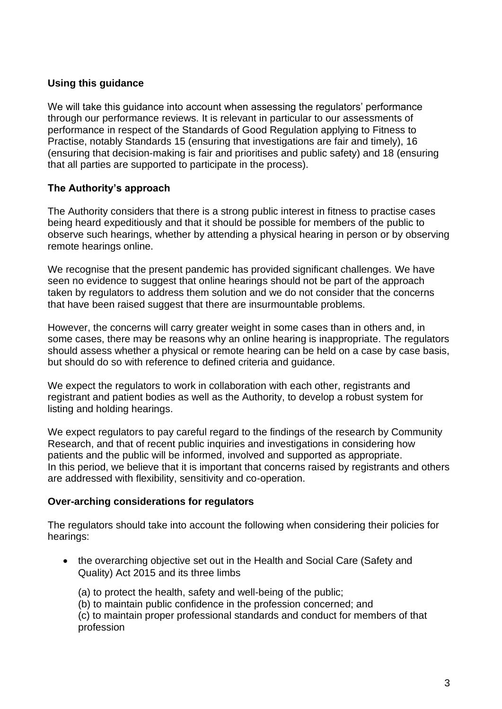# **Using this guidance**

We will take this guidance into account when assessing the regulators' performance through our performance reviews. It is relevant in particular to our assessments of performance in respect of the Standards of Good Regulation applying to Fitness to Practise, notably Standards 15 (ensuring that investigations are fair and timely), 16 (ensuring that decision-making is fair and prioritises and public safety) and 18 (ensuring that all parties are supported to participate in the process).

# **The Authority's approach**

The Authority considers that there is a strong public interest in fitness to practise cases being heard expeditiously and that it should be possible for members of the public to observe such hearings, whether by attending a physical hearing in person or by observing remote hearings online.

We recognise that the present pandemic has provided significant challenges. We have seen no evidence to suggest that online hearings should not be part of the approach taken by regulators to address them solution and we do not consider that the concerns that have been raised suggest that there are insurmountable problems.

However, the concerns will carry greater weight in some cases than in others and, in some cases, there may be reasons why an online hearing is inappropriate. The regulators should assess whether a physical or remote hearing can be held on a case by case basis, but should do so with reference to defined criteria and guidance.

We expect the regulators to work in collaboration with each other, registrants and registrant and patient bodies as well as the Authority, to develop a robust system for listing and holding hearings.

We expect regulators to pay careful regard to the findings of the research by Community Research, and that of recent public inquiries and investigations in considering how patients and the public will be informed, involved and supported as appropriate. In this period, we believe that it is important that concerns raised by registrants and others are addressed with flexibility, sensitivity and co-operation.

# **Over-arching considerations for regulators**

The regulators should take into account the following when considering their policies for hearings:

- the overarching objective set out in the Health and Social Care (Safety and Quality) Act 2015 and its three limbs
	- (a) to protect the health, safety and well-being of the public;
	- (b) to maintain public confidence in the profession concerned; and

(c) to maintain proper professional standards and conduct for members of that profession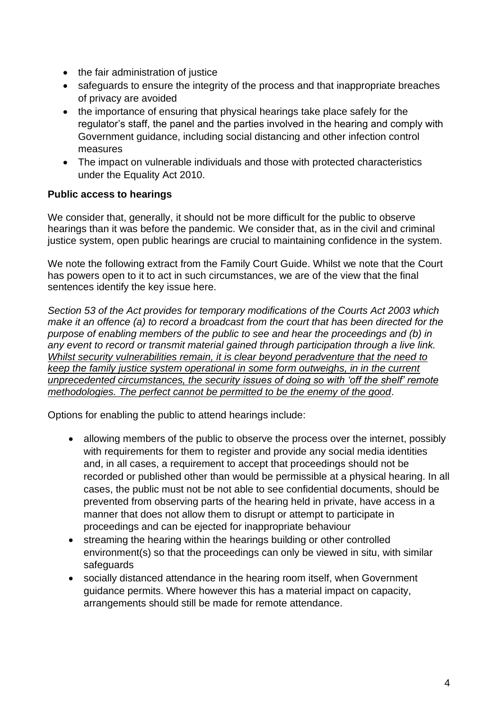- the fair administration of justice
- safeguards to ensure the integrity of the process and that inappropriate breaches of privacy are avoided
- the importance of ensuring that physical hearings take place safely for the regulator's staff, the panel and the parties involved in the hearing and comply with Government guidance, including social distancing and other infection control measures
- The impact on vulnerable individuals and those with protected characteristics under the Equality Act 2010.

# **Public access to hearings**

We consider that, generally, it should not be more difficult for the public to observe hearings than it was before the pandemic. We consider that, as in the civil and criminal justice system, open public hearings are crucial to maintaining confidence in the system.

We note the following extract from the Family Court Guide. Whilst we note that the Court has powers open to it to act in such circumstances, we are of the view that the final sentences identify the key issue here.

*Section 53 of the Act provides for temporary modifications of the Courts Act 2003 which make it an offence (a) to record a broadcast from the court that has been directed for the purpose of enabling members of the public to see and hear the proceedings and (b) in any event to record or transmit material gained through participation through a live link. Whilst security vulnerabilities remain, it is clear beyond peradventure that the need to keep the family justice system operational in some form outweighs, in in the current unprecedented circumstances, the security issues of doing so with 'off the shelf' remote methodologies. The perfect cannot be permitted to be the enemy of the good*.

Options for enabling the public to attend hearings include:

- allowing members of the public to observe the process over the internet, possibly with requirements for them to register and provide any social media identities and, in all cases, a requirement to accept that proceedings should not be recorded or published other than would be permissible at a physical hearing. In all cases, the public must not be not able to see confidential documents, should be prevented from observing parts of the hearing held in private, have access in a manner that does not allow them to disrupt or attempt to participate in proceedings and can be ejected for inappropriate behaviour
- streaming the hearing within the hearings building or other controlled environment(s) so that the proceedings can only be viewed in situ, with similar safeguards
- socially distanced attendance in the hearing room itself, when Government guidance permits. Where however this has a material impact on capacity, arrangements should still be made for remote attendance.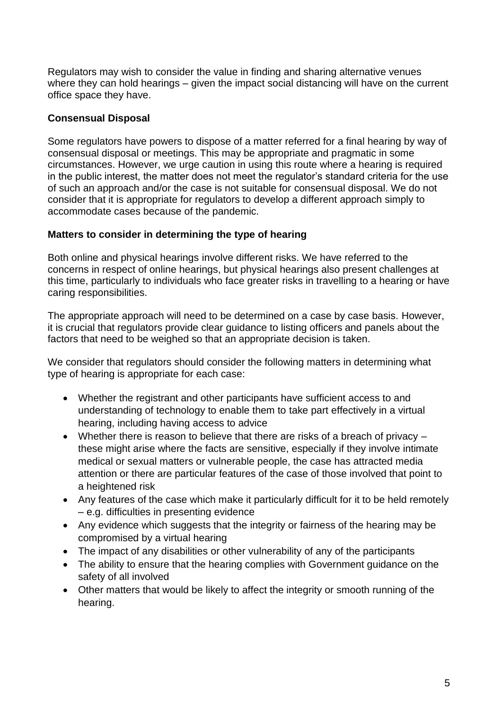Regulators may wish to consider the value in finding and sharing alternative venues where they can hold hearings – given the impact social distancing will have on the current office space they have.

### **Consensual Disposal**

Some regulators have powers to dispose of a matter referred for a final hearing by way of consensual disposal or meetings. This may be appropriate and pragmatic in some circumstances. However, we urge caution in using this route where a hearing is required in the public interest, the matter does not meet the regulator's standard criteria for the use of such an approach and/or the case is not suitable for consensual disposal. We do not consider that it is appropriate for regulators to develop a different approach simply to accommodate cases because of the pandemic.

#### **Matters to consider in determining the type of hearing**

Both online and physical hearings involve different risks. We have referred to the concerns in respect of online hearings, but physical hearings also present challenges at this time, particularly to individuals who face greater risks in travelling to a hearing or have caring responsibilities.

The appropriate approach will need to be determined on a case by case basis. However, it is crucial that regulators provide clear guidance to listing officers and panels about the factors that need to be weighed so that an appropriate decision is taken.

We consider that regulators should consider the following matters in determining what type of hearing is appropriate for each case:

- Whether the registrant and other participants have sufficient access to and understanding of technology to enable them to take part effectively in a virtual hearing, including having access to advice
- Whether there is reason to believe that there are risks of a breach of privacy these might arise where the facts are sensitive, especially if they involve intimate medical or sexual matters or vulnerable people, the case has attracted media attention or there are particular features of the case of those involved that point to a heightened risk
- Any features of the case which make it particularly difficult for it to be held remotely – e.g. difficulties in presenting evidence
- Any evidence which suggests that the integrity or fairness of the hearing may be compromised by a virtual hearing
- The impact of any disabilities or other vulnerability of any of the participants
- The ability to ensure that the hearing complies with Government guidance on the safety of all involved
- Other matters that would be likely to affect the integrity or smooth running of the hearing.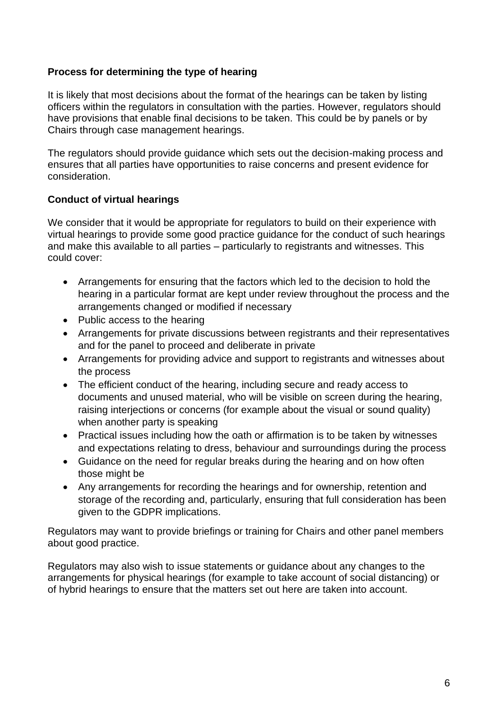# **Process for determining the type of hearing**

It is likely that most decisions about the format of the hearings can be taken by listing officers within the regulators in consultation with the parties. However, regulators should have provisions that enable final decisions to be taken. This could be by panels or by Chairs through case management hearings.

The regulators should provide guidance which sets out the decision-making process and ensures that all parties have opportunities to raise concerns and present evidence for consideration.

#### **Conduct of virtual hearings**

We consider that it would be appropriate for regulators to build on their experience with virtual hearings to provide some good practice guidance for the conduct of such hearings and make this available to all parties – particularly to registrants and witnesses. This could cover:

- Arrangements for ensuring that the factors which led to the decision to hold the hearing in a particular format are kept under review throughout the process and the arrangements changed or modified if necessary
- Public access to the hearing
- Arrangements for private discussions between registrants and their representatives and for the panel to proceed and deliberate in private
- Arrangements for providing advice and support to registrants and witnesses about the process
- The efficient conduct of the hearing, including secure and ready access to documents and unused material, who will be visible on screen during the hearing, raising interjections or concerns (for example about the visual or sound quality) when another party is speaking
- Practical issues including how the oath or affirmation is to be taken by witnesses and expectations relating to dress, behaviour and surroundings during the process
- Guidance on the need for regular breaks during the hearing and on how often those might be
- Any arrangements for recording the hearings and for ownership, retention and storage of the recording and, particularly, ensuring that full consideration has been given to the GDPR implications.

Regulators may want to provide briefings or training for Chairs and other panel members about good practice.

Regulators may also wish to issue statements or guidance about any changes to the arrangements for physical hearings (for example to take account of social distancing) or of hybrid hearings to ensure that the matters set out here are taken into account.